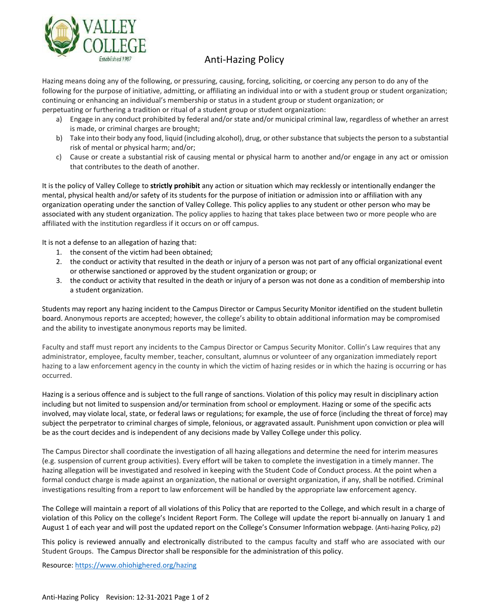

## Anti-Hazing Policy

Hazing means doing any of the following, or pressuring, causing, forcing, soliciting, or coercing any person to do any of the following for the purpose of initiative, admitting, or affiliating an individual into or with a student group or student organization; continuing or enhancing an individual's membership or status in a student group or student organization; or perpetuating or furthering a tradition or ritual of a student group or student organization:

- a) Engage in any conduct prohibited by federal and/or state and/or municipal criminal law, regardless of whether an arrest is made, or criminal charges are brought;
- b) Take into their body any food, liquid (including alcohol), drug, or other substance that subjects the person to a substantial risk of mental or physical harm; and/or;
- c) Cause or create a substantial risk of causing mental or physical harm to another and/or engage in any act or omission that contributes to the death of another.

It is the policy of Valley College to **strictly prohibit** any action or situation which may recklessly or intentionally endanger the mental, physical health and/or safety of its students for the purpose of initiation or admission into or affiliation with any organization operating under the sanction of Valley College. This policy applies to any student or other person who may be associated with any student organization. The policy applies to hazing that takes place between two or more people who are affiliated with the institution regardless if it occurs on or off campus.

It is not a defense to an allegation of hazing that:

- 1. the consent of the victim had been obtained;
- 2. the conduct or activity that resulted in the death or injury of a person was not part of any official organizational event or otherwise sanctioned or approved by the student organization or group; or
- 3. the conduct or activity that resulted in the death or injury of a person was not done as a condition of membership into a student organization.

Students may report any hazing incident to the Campus Director or Campus Security Monitor identified on the student bulletin board. Anonymous reports are accepted; however, the college's ability to obtain additional information may be compromised and the ability to investigate anonymous reports may be limited.

Faculty and staff must report any incidents to the Campus Director or Campus Security Monitor. Collin's Law requires that any administrator, employee, faculty member, teacher, consultant, alumnus or volunteer of any organization immediately report hazing to a law enforcement agency in the county in which the victim of hazing resides or in which the hazing is occurring or has occurred.

Hazing is a serious offence and is subject to the full range of sanctions. Violation of this policy may result in disciplinary action including but not limited to suspension and/or termination from school or employment. Hazing or some of the specific acts involved, may violate local, state, or federal laws or regulations; for example, the use of force (including the threat of force) may subject the perpetrator to criminal charges of simple, felonious, or aggravated assault. Punishment upon conviction or plea will be as the court decides and is independent of any decisions made by Valley College under this policy.

The Campus Director shall coordinate the investigation of all hazing allegations and determine the need for interim measures (e.g. suspension of current group activities). Every effort will be taken to complete the investigation in a timely manner. The hazing allegation will be investigated and resolved in keeping with the Student Code of Conduct process. At the point when a formal conduct charge is made against an organization, the national or oversight organization, if any, shall be notified. Criminal investigations resulting from a report to law enforcement will be handled by the appropriate law enforcement agency.

The College will maintain a report of all violations of this Policy that are reported to the College, and which result in a charge of violation of this Policy on the college's Incident Report Form. The College will update the report bi-annually on January 1 and August 1 of each year and will post the updated report on the College's Consumer Information webpage. (Anti-hazing Policy, p2)

This policy is reviewed annually and electronically distributed to the campus faculty and staff who are associated with our Student Groups. The Campus Director shall be responsible for the administration of this policy.

Resource[: https://www.ohiohighered.org/hazing](https://www.ohiohighered.org/hazing)